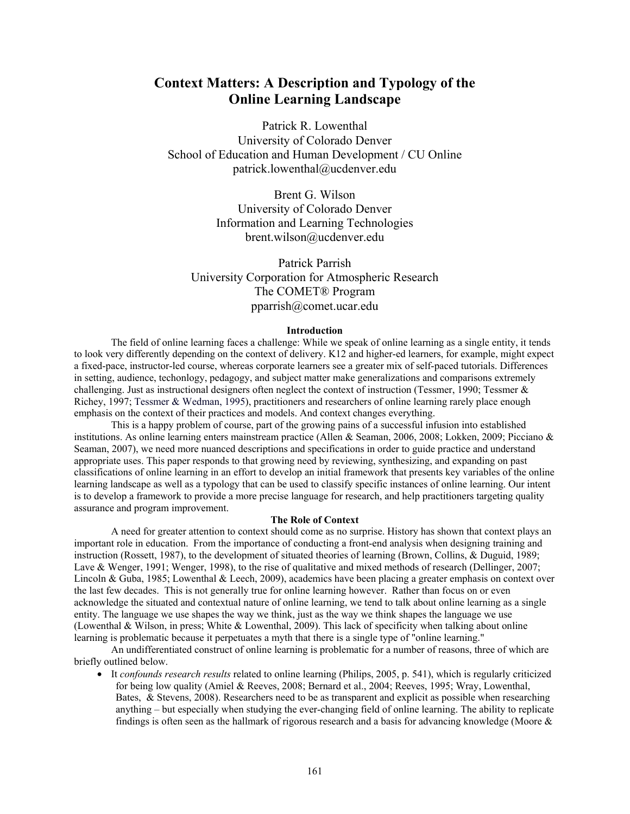# **Context Matters: A Description and Typology of the Online Learning Landscape**

Patrick R. Lowenthal University of Colorado Denver School of Education and Human Development / CU Online patrick.lowenthal@ucdenver.edu

> Brent G. Wilson University of Colorado Denver Information and Learning Technologies brent.wilson@ucdenver.edu

Patrick Parrish University Corporation for Atmospheric Research The COMET® Program pparrish@comet.ucar.edu

#### **Introduction**

 The field of online learning faces a challenge: While we speak of online learning as a single entity, it tends to look very differently depending on the context of delivery. K12 and higher-ed learners, for example, might expect a fixed-pace, instructor-led course, whereas corporate learners see a greater mix of self-paced tutorials. Differences in setting, audience, techonlogy, pedagogy, and subject matter make generalizations and comparisons extremely challenging. Just as instructional designers often neglect the context of instruction (Tessmer, 1990; Tessmer & Richey, 1997; Tessmer & Wedman, 1995), practitioners and researchers of online learning rarely place enough emphasis on the context of their practices and models. And context changes everything.

This is a happy problem of course, part of the growing pains of a successful infusion into established institutions. As online learning enters mainstream practice (Allen & Seaman, 2006, 2008; Lokken, 2009; Picciano & Seaman, 2007), we need more nuanced descriptions and specifications in order to guide practice and understand appropriate uses. This paper responds to that growing need by reviewing, synthesizing, and expanding on past classifications of online learning in an effort to develop an initial framework that presents key variables of the online learning landscape as well as a typology that can be used to classify specific instances of online learning. Our intent is to develop a framework to provide a more precise language for research, and help practitioners targeting quality assurance and program improvement.

# **The Role of Context**

 A need for greater attention to context should come as no surprise. History has shown that context plays an important role in education. From the importance of conducting a front-end analysis when designing training and instruction (Rossett, 1987), to the development of situated theories of learning (Brown, Collins, & Duguid, 1989; Lave & Wenger, 1991; Wenger, 1998), to the rise of qualitative and mixed methods of research (Dellinger, 2007; Lincoln & Guba, 1985; Lowenthal & Leech, 2009), academics have been placing a greater emphasis on context over the last few decades. This is not generally true for online learning however. Rather than focus on or even acknowledge the situated and contextual nature of online learning, we tend to talk about online learning as a single entity. The language we use shapes the way we think, just as the way we think shapes the language we use (Lowenthal & Wilson, in press; White & Lowenthal, 2009). This lack of specificity when talking about online learning is problematic because it perpetuates a myth that there is a single type of "online learning."

An undifferentiated construct of online learning is problematic for a number of reasons, three of which are briefly outlined below.

• It *confounds research results* related to online learning (Philips, 2005, p. 541), which is regularly criticized for being low quality (Amiel & Reeves, 2008; Bernard et al., 2004; Reeves, 1995; Wray, Lowenthal, Bates, & Stevens, 2008). Researchers need to be as transparent and explicit as possible when researching anything – but especially when studying the ever-changing field of online learning. The ability to replicate findings is often seen as the hallmark of rigorous research and a basis for advancing knowledge (Moore  $\&$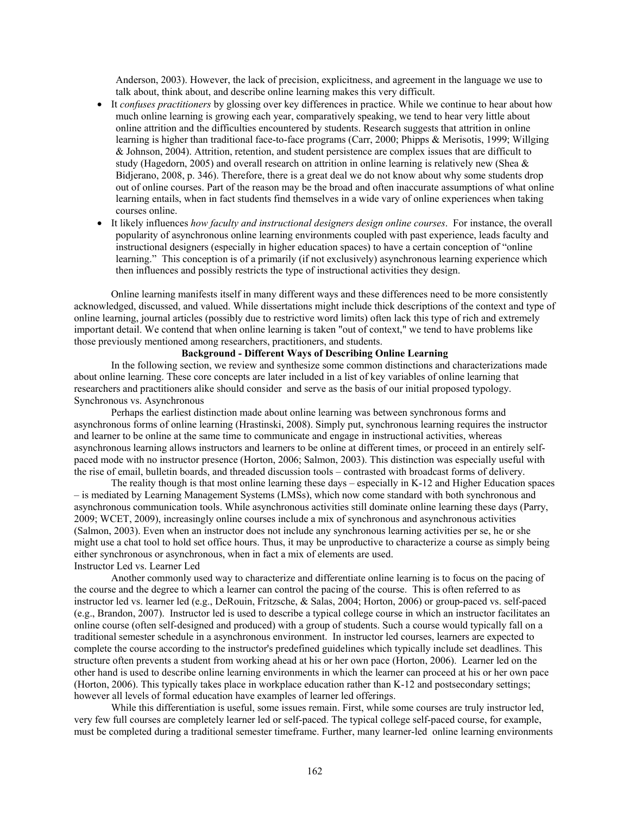Anderson, 2003). However, the lack of precision, explicitness, and agreement in the language we use to talk about, think about, and describe online learning makes this very difficult.

- It *confuses practitioners* by glossing over key differences in practice. While we continue to hear about how much online learning is growing each year, comparatively speaking, we tend to hear very little about online attrition and the difficulties encountered by students. Research suggests that attrition in online learning is higher than traditional face-to-face programs (Carr, 2000; Phipps & Merisotis, 1999; Willging & Johnson, 2004). Attrition, retention, and student persistence are complex issues that are difficult to study (Hagedorn, 2005) and overall research on attrition in online learning is relatively new (Shea & Bidjerano, 2008, p. 346). Therefore, there is a great deal we do not know about why some students drop out of online courses. Part of the reason may be the broad and often inaccurate assumptions of what online learning entails, when in fact students find themselves in a wide vary of online experiences when taking courses online.
- It likely influences *how faculty and instructional designers design online courses*. For instance, the overall popularity of asynchronous online learning environments coupled with past experience, leads faculty and instructional designers (especially in higher education spaces) to have a certain conception of "online learning." This conception is of a primarily (if not exclusively) asynchronous learning experience which then influences and possibly restricts the type of instructional activities they design.

Online learning manifests itself in many different ways and these differences need to be more consistently acknowledged, discussed, and valued. While dissertations might include thick descriptions of the context and type of online learning, journal articles (possibly due to restrictive word limits) often lack this type of rich and extremely important detail. We contend that when online learning is taken "out of context," we tend to have problems like those previously mentioned among researchers, practitioners, and students.

# **Background - Different Ways of Describing Online Learning**

 In the following section, we review and synthesize some common distinctions and characterizations made about online learning. These core concepts are later included in a list of key variables of online learning that researchers and practitioners alike should consider and serve as the basis of our initial proposed typology. Synchronous vs. Asynchronous

 Perhaps the earliest distinction made about online learning was between synchronous forms and asynchronous forms of online learning (Hrastinski, 2008). Simply put, synchronous learning requires the instructor and learner to be online at the same time to communicate and engage in instructional activities, whereas asynchronous learning allows instructors and learners to be online at different times, or proceed in an entirely selfpaced mode with no instructor presence (Horton, 2006; Salmon, 2003). This distinction was especially useful with the rise of email, bulletin boards, and threaded discussion tools – contrasted with broadcast forms of delivery.

The reality though is that most online learning these days – especially in K-12 and Higher Education spaces – is mediated by Learning Management Systems (LMSs), which now come standard with both synchronous and asynchronous communication tools. While asynchronous activities still dominate online learning these days (Parry, 2009; WCET, 2009), increasingly online courses include a mix of synchronous and asynchronous activities (Salmon, 2003). Even when an instructor does not include any synchronous learning activities per se, he or she might use a chat tool to hold set office hours. Thus, it may be unproductive to characterize a course as simply being either synchronous or asynchronous, when in fact a mix of elements are used. Instructor Led vs. Learner Led

 Another commonly used way to characterize and differentiate online learning is to focus on the pacing of the course and the degree to which a learner can control the pacing of the course. This is often referred to as instructor led vs. learner led (e.g., DeRouin, Fritzsche, & Salas, 2004; Horton, 2006) or group-paced vs. self-paced (e.g., Brandon, 2007). Instructor led is used to describe a typical college course in which an instructor facilitates an online course (often self-designed and produced) with a group of students. Such a course would typically fall on a traditional semester schedule in a asynchronous environment. In instructor led courses, learners are expected to complete the course according to the instructor's predefined guidelines which typically include set deadlines. This structure often prevents a student from working ahead at his or her own pace (Horton, 2006). Learner led on the other hand is used to describe online learning environments in which the learner can proceed at his or her own pace (Horton, 2006). This typically takes place in workplace education rather than K-12 and postsecondary settings; however all levels of formal education have examples of learner led offerings.

While this differentiation is useful, some issues remain. First, while some courses are truly instructor led, very few full courses are completely learner led or self-paced. The typical college self-paced course, for example, must be completed during a traditional semester timeframe. Further, many learner-led online learning environments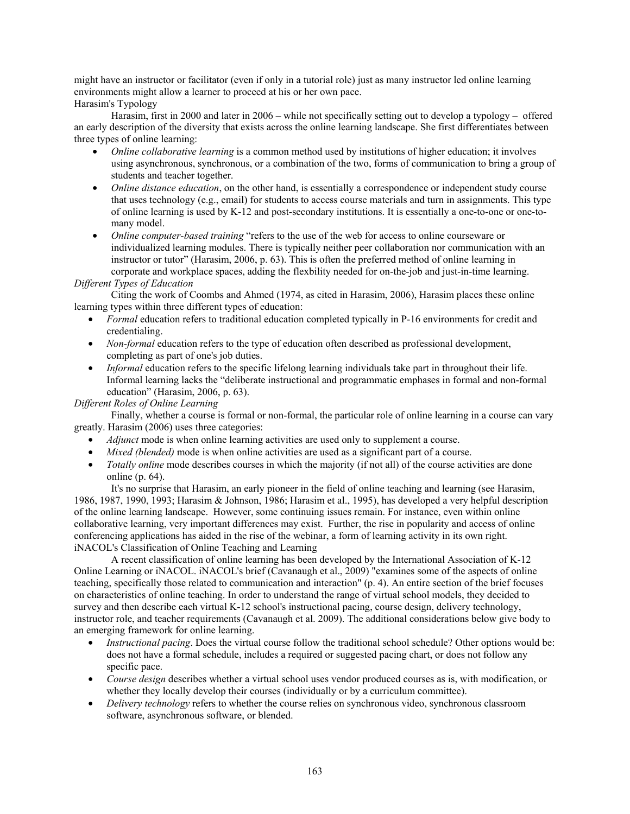might have an instructor or facilitator (even if only in a tutorial role) just as many instructor led online learning environments might allow a learner to proceed at his or her own pace.

Harasim's Typology

 Harasim, first in 2000 and later in 2006 – while not specifically setting out to develop a typology – offered an early description of the diversity that exists across the online learning landscape. She first differentiates between three types of online learning:

- *Online collaborative learning* is a common method used by institutions of higher education; it involves using asynchronous, synchronous, or a combination of the two, forms of communication to bring a group of students and teacher together.
- *Online distance education*, on the other hand, is essentially a correspondence or independent study course that uses technology (e.g., email) for students to access course materials and turn in assignments. This type of online learning is used by K-12 and post-secondary institutions. It is essentially a one-to-one or one-tomany model.
- *Online computer-based training* "refers to the use of the web for access to online courseware or individualized learning modules. There is typically neither peer collaboration nor communication with an instructor or tutor" (Harasim, 2006, p. 63). This is often the preferred method of online learning in corporate and workplace spaces, adding the flexbility needed for on-the-job and just-in-time learning.

# *Different Types of Education*

 Citing the work of Coombs and Ahmed (1974, as cited in Harasim, 2006), Harasim places these online learning types within three different types of education:

- *Formal* education refers to traditional education completed typically in P-16 environments for credit and credentialing.
- *Non-formal* education refers to the type of education often described as professional development, completing as part of one's job duties.
- *Informal* education refers to the specific lifelong learning individuals take part in throughout their life. Informal learning lacks the "deliberate instructional and programmatic emphases in formal and non-formal education" (Harasim, 2006, p. 63).

# *Different Roles of Online Learning*

 Finally, whether a course is formal or non-formal, the particular role of online learning in a course can vary greatly. Harasim (2006) uses three categories:

- *Adjunct* mode is when online learning activities are used only to supplement a course.
- *Mixed (blended)* mode is when online activities are used as a significant part of a course.
- *Totally online* mode describes courses in which the majority (if not all) of the course activities are done online (p. 64).

 It's no surprise that Harasim, an early pioneer in the field of online teaching and learning (see Harasim, 1986, 1987, 1990, 1993; Harasim & Johnson, 1986; Harasim et al., 1995), has developed a very helpful description of the online learning landscape. However, some continuing issues remain. For instance, even within online collaborative learning, very important differences may exist. Further, the rise in popularity and access of online conferencing applications has aided in the rise of the webinar, a form of learning activity in its own right. iNACOL's Classification of Online Teaching and Learning

 A recent classification of online learning has been developed by the International Association of K-12 Online Learning or iNACOL. iNACOL's brief (Cavanaugh et al., 2009) "examines some of the aspects of online teaching, specifically those related to communication and interaction" (p. 4). An entire section of the brief focuses on characteristics of online teaching. In order to understand the range of virtual school models, they decided to survey and then describe each virtual K-12 school's instructional pacing, course design, delivery technology, instructor role, and teacher requirements (Cavanaugh et al. 2009). The additional considerations below give body to an emerging framework for online learning.

- *Instructional pacing*. Does the virtual course follow the traditional school schedule? Other options would be: does not have a formal schedule, includes a required or suggested pacing chart, or does not follow any specific pace.
- *Course design* describes whether a virtual school uses vendor produced courses as is, with modification, or whether they locally develop their courses (individually or by a curriculum committee).
- *Delivery technology* refers to whether the course relies on synchronous video, synchronous classroom software, asynchronous software, or blended.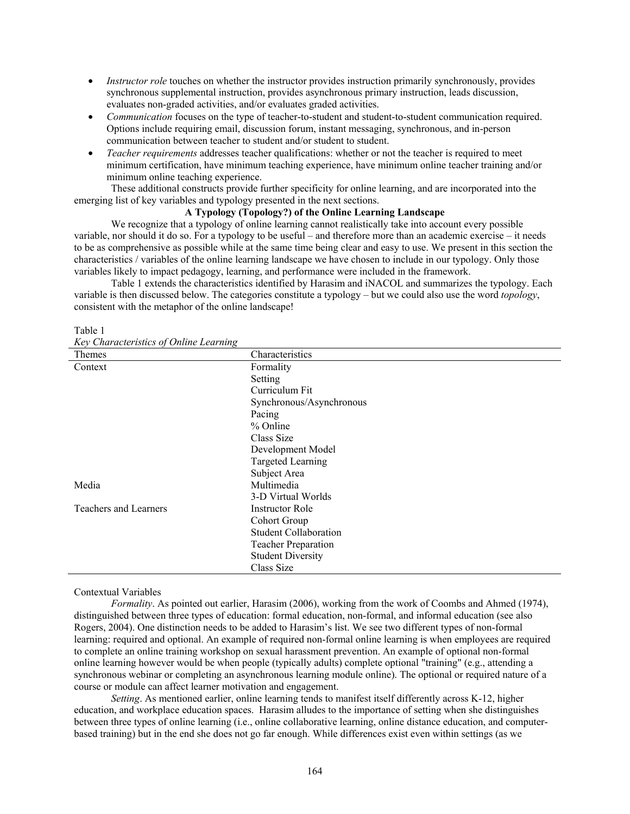- *Instructor role* touches on whether the instructor provides instruction primarily synchronously, provides synchronous supplemental instruction, provides asynchronous primary instruction, leads discussion, evaluates non-graded activities, and/or evaluates graded activities.
- *Communication* focuses on the type of teacher-to-student and student-to-student communication required. Options include requiring email, discussion forum, instant messaging, synchronous, and in-person communication between teacher to student and/or student to student.
- *Teacher requirements* addresses teacher qualifications: whether or not the teacher is required to meet minimum certification, have minimum teaching experience, have minimum online teacher training and/or minimum online teaching experience.

These additional constructs provide further specificity for online learning, and are incorporated into the emerging list of key variables and typology presented in the next sections.

### **A Typology (Topology?) of the Online Learning Landscape**

 We recognize that a typology of online learning cannot realistically take into account every possible variable, nor should it do so. For a typology to be useful – and therefore more than an academic exercise – it needs to be as comprehensive as possible while at the same time being clear and easy to use. We present in this section the characteristics / variables of the online learning landscape we have chosen to include in our typology. Only those variables likely to impact pedagogy, learning, and performance were included in the framework.

Table 1 extends the characteristics identified by Harasim and iNACOL and summarizes the typology. Each variable is then discussed below. The categories constitute a typology – but we could also use the word *topology*, consistent with the metaphor of the online landscape!

| Key Characteristics of Online Learning |                              |  |  |  |  |  |
|----------------------------------------|------------------------------|--|--|--|--|--|
| Themes                                 | Characteristics              |  |  |  |  |  |
| Context                                | Formality                    |  |  |  |  |  |
|                                        | Setting                      |  |  |  |  |  |
|                                        | Curriculum Fit               |  |  |  |  |  |
|                                        | Synchronous/Asynchronous     |  |  |  |  |  |
|                                        | Pacing                       |  |  |  |  |  |
|                                        | % Online                     |  |  |  |  |  |
|                                        | Class Size                   |  |  |  |  |  |
|                                        | Development Model            |  |  |  |  |  |
|                                        | <b>Targeted Learning</b>     |  |  |  |  |  |
|                                        | Subject Area                 |  |  |  |  |  |
| Media                                  | Multimedia                   |  |  |  |  |  |
|                                        | 3-D Virtual Worlds           |  |  |  |  |  |
| Teachers and Learners                  | <b>Instructor Role</b>       |  |  |  |  |  |
|                                        | Cohort Group                 |  |  |  |  |  |
|                                        | <b>Student Collaboration</b> |  |  |  |  |  |
|                                        | <b>Teacher Preparation</b>   |  |  |  |  |  |
|                                        | <b>Student Diversity</b>     |  |  |  |  |  |
|                                        | Class Size                   |  |  |  |  |  |

#### Table 1

*Key Characteristics of Online Learning* 

# Contextual Variables

*Formality*. As pointed out earlier, Harasim (2006), working from the work of Coombs and Ahmed (1974), distinguished between three types of education: formal education, non-formal, and informal education (see also Rogers, 2004). One distinction needs to be added to Harasim's list. We see two different types of non-formal learning: required and optional. An example of required non-formal online learning is when employees are required to complete an online training workshop on sexual harassment prevention. An example of optional non-formal online learning however would be when people (typically adults) complete optional "training" (e.g., attending a synchronous webinar or completing an asynchronous learning module online). The optional or required nature of a course or module can affect learner motivation and engagement.

*Setting*. As mentioned earlier, online learning tends to manifest itself differently across K-12, higher education, and workplace education spaces. Harasim alludes to the importance of setting when she distinguishes between three types of online learning (i.e., online collaborative learning, online distance education, and computerbased training) but in the end she does not go far enough. While differences exist even within settings (as we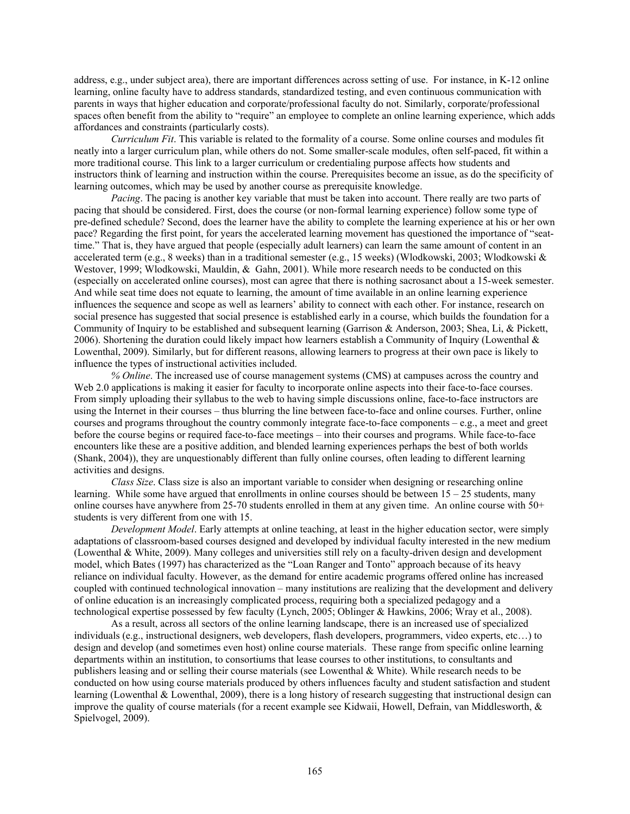address, e.g., under subject area), there are important differences across setting of use. For instance, in K-12 online learning, online faculty have to address standards, standardized testing, and even continuous communication with parents in ways that higher education and corporate/professional faculty do not. Similarly, corporate/professional spaces often benefit from the ability to "require" an employee to complete an online learning experience, which adds affordances and constraints (particularly costs).

*Curriculum Fit*. This variable is related to the formality of a course. Some online courses and modules fit neatly into a larger curriculum plan, while others do not. Some smaller-scale modules, often self-paced, fit within a more traditional course. This link to a larger curriculum or credentialing purpose affects how students and instructors think of learning and instruction within the course. Prerequisites become an issue, as do the specificity of learning outcomes, which may be used by another course as prerequisite knowledge.

*Pacing*. The pacing is another key variable that must be taken into account. There really are two parts of pacing that should be considered. First, does the course (or non-formal learning experience) follow some type of pre-defined schedule? Second, does the learner have the ability to complete the learning experience at his or her own pace? Regarding the first point, for years the accelerated learning movement has questioned the importance of "seattime." That is, they have argued that people (especially adult learners) can learn the same amount of content in an accelerated term (e.g., 8 weeks) than in a traditional semester (e.g., 15 weeks) (Wlodkowski, 2003; Wlodkowski & Westover, 1999; Wlodkowski, Mauldin, & Gahn, 2001). While more research needs to be conducted on this (especially on accelerated online courses), most can agree that there is nothing sacrosanct about a 15-week semester. And while seat time does not equate to learning, the amount of time available in an online learning experience influences the sequence and scope as well as learners' ability to connect with each other. For instance, research on social presence has suggested that social presence is established early in a course, which builds the foundation for a Community of Inquiry to be established and subsequent learning (Garrison & Anderson, 2003; Shea, Li, & Pickett, 2006). Shortening the duration could likely impact how learners establish a Community of Inquiry (Lowenthal  $\&$ Lowenthal, 2009). Similarly, but for different reasons, allowing learners to progress at their own pace is likely to influence the types of instructional activities included.

*% Online*. The increased use of course management systems (CMS) at campuses across the country and Web 2.0 applications is making it easier for faculty to incorporate online aspects into their face-to-face courses. From simply uploading their syllabus to the web to having simple discussions online, face-to-face instructors are using the Internet in their courses – thus blurring the line between face-to-face and online courses. Further, online courses and programs throughout the country commonly integrate face-to-face components – e.g., a meet and greet before the course begins or required face-to-face meetings – into their courses and programs. While face-to-face encounters like these are a positive addition, and blended learning experiences perhaps the best of both worlds (Shank, 2004)), they are unquestionably different than fully online courses, often leading to different learning activities and designs.

*Class Size*. Class size is also an important variable to consider when designing or researching online learning. While some have argued that enrollments in online courses should be between  $15 - 25$  students, many online courses have anywhere from 25-70 students enrolled in them at any given time. An online course with 50+ students is very different from one with 15.

*Development Model*. Early attempts at online teaching, at least in the higher education sector, were simply adaptations of classroom-based courses designed and developed by individual faculty interested in the new medium (Lowenthal & White, 2009). Many colleges and universities still rely on a faculty-driven design and development model, which Bates (1997) has characterized as the "Loan Ranger and Tonto" approach because of its heavy reliance on individual faculty. However, as the demand for entire academic programs offered online has increased coupled with continued technological innovation – many institutions are realizing that the development and delivery of online education is an increasingly complicated process, requiring both a specialized pedagogy and a technological expertise possessed by few faculty (Lynch, 2005; Oblinger & Hawkins, 2006; Wray et al., 2008).

 As a result, across all sectors of the online learning landscape, there is an increased use of specialized individuals (e.g., instructional designers, web developers, flash developers, programmers, video experts, etc…) to design and develop (and sometimes even host) online course materials. These range from specific online learning departments within an institution, to consortiums that lease courses to other institutions, to consultants and publishers leasing and or selling their course materials (see Lowenthal & White). While research needs to be conducted on how using course materials produced by others influences faculty and student satisfaction and student learning (Lowenthal & Lowenthal, 2009), there is a long history of research suggesting that instructional design can improve the quality of course materials (for a recent example see Kidwaii, Howell, Defrain, van Middlesworth, & Spielvogel, 2009).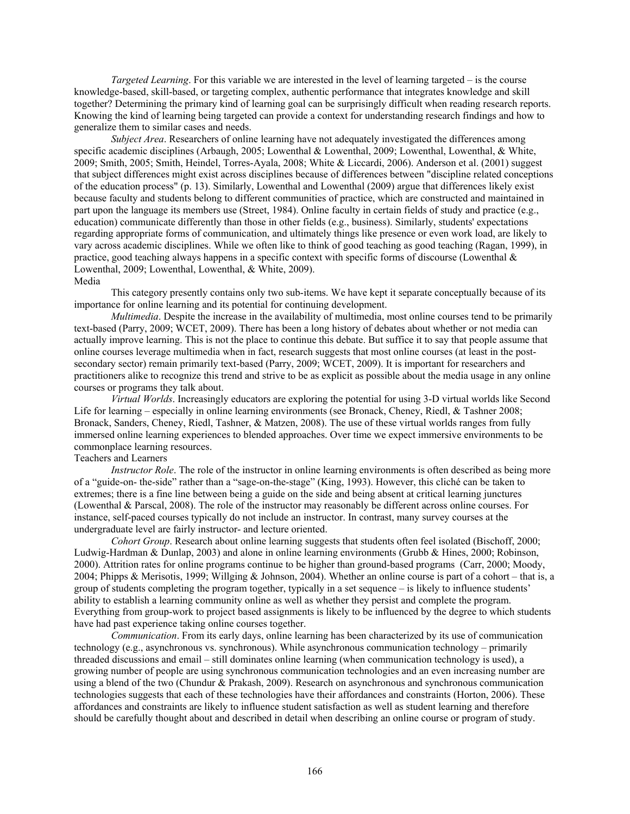*Targeted Learning*. For this variable we are interested in the level of learning targeted – is the course knowledge-based, skill-based, or targeting complex, authentic performance that integrates knowledge and skill together? Determining the primary kind of learning goal can be surprisingly difficult when reading research reports. Knowing the kind of learning being targeted can provide a context for understanding research findings and how to generalize them to similar cases and needs.

*Subject Area*. Researchers of online learning have not adequately investigated the differences among specific academic disciplines (Arbaugh, 2005; Lowenthal & Lowenthal, 2009; Lowenthal, Lowenthal, & White, 2009; Smith, 2005; Smith, Heindel, Torres-Ayala, 2008; White & Liccardi, 2006). Anderson et al. (2001) suggest that subject differences might exist across disciplines because of differences between "discipline related conceptions of the education process" (p. 13). Similarly, Lowenthal and Lowenthal (2009) argue that differences likely exist because faculty and students belong to different communities of practice, which are constructed and maintained in part upon the language its members use (Street, 1984). Online faculty in certain fields of study and practice (e.g., education) communicate differently than those in other fields (e.g., business). Similarly, students' expectations regarding appropriate forms of communication, and ultimately things like presence or even work load, are likely to vary across academic disciplines. While we often like to think of good teaching as good teaching (Ragan, 1999), in practice, good teaching always happens in a specific context with specific forms of discourse (Lowenthal  $\&$ Lowenthal, 2009; Lowenthal, Lowenthal, & White, 2009). Media

 This category presently contains only two sub-items. We have kept it separate conceptually because of its importance for online learning and its potential for continuing development.

*Multimedia*. Despite the increase in the availability of multimedia, most online courses tend to be primarily text-based (Parry, 2009; WCET, 2009). There has been a long history of debates about whether or not media can actually improve learning. This is not the place to continue this debate. But suffice it to say that people assume that online courses leverage multimedia when in fact, research suggests that most online courses (at least in the postsecondary sector) remain primarily text-based (Parry, 2009; WCET, 2009). It is important for researchers and practitioners alike to recognize this trend and strive to be as explicit as possible about the media usage in any online courses or programs they talk about.

*Virtual Worlds*. Increasingly educators are exploring the potential for using 3-D virtual worlds like Second Life for learning – especially in online learning environments (see Bronack, Cheney, Riedl, & Tashner 2008; Bronack, Sanders, Cheney, Riedl, Tashner, & Matzen, 2008). The use of these virtual worlds ranges from fully immersed online learning experiences to blended approaches. Over time we expect immersive environments to be commonplace learning resources.

# Teachers and Learners

*Instructor Role*. The role of the instructor in online learning environments is often described as being more of a "guide-on- the-side" rather than a "sage-on-the-stage" (King, 1993). However, this cliché can be taken to extremes; there is a fine line between being a guide on the side and being absent at critical learning junctures (Lowenthal & Parscal, 2008). The role of the instructor may reasonably be different across online courses. For instance, self-paced courses typically do not include an instructor. In contrast, many survey courses at the undergraduate level are fairly instructor- and lecture oriented.

*Cohort Group*. Research about online learning suggests that students often feel isolated (Bischoff, 2000; Ludwig-Hardman & Dunlap, 2003) and alone in online learning environments (Grubb & Hines, 2000; Robinson, 2000). Attrition rates for online programs continue to be higher than ground-based programs (Carr, 2000; Moody, 2004; Phipps & Merisotis, 1999; Willging & Johnson, 2004). Whether an online course is part of a cohort – that is, a group of students completing the program together, typically in a set sequence – is likely to influence students' ability to establish a learning community online as well as whether they persist and complete the program. Everything from group-work to project based assignments is likely to be influenced by the degree to which students have had past experience taking online courses together.

*Communication*. From its early days, online learning has been characterized by its use of communication technology (e.g., asynchronous vs. synchronous). While asynchronous communication technology – primarily threaded discussions and email – still dominates online learning (when communication technology is used), a growing number of people are using synchronous communication technologies and an even increasing number are using a blend of the two (Chundur & Prakash, 2009). Research on asynchronous and synchronous communication technologies suggests that each of these technologies have their affordances and constraints (Horton, 2006). These affordances and constraints are likely to influence student satisfaction as well as student learning and therefore should be carefully thought about and described in detail when describing an online course or program of study.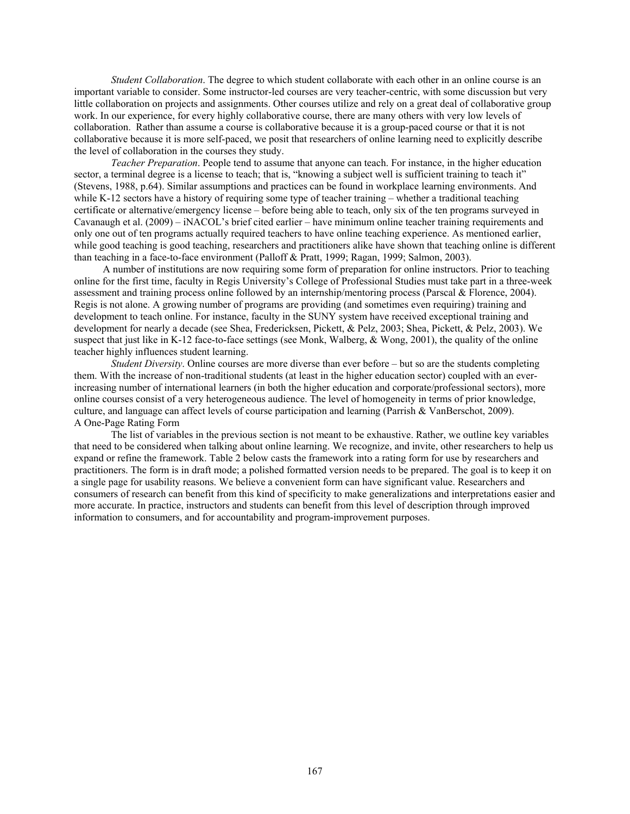*Student Collaboration*. The degree to which student collaborate with each other in an online course is an important variable to consider. Some instructor-led courses are very teacher-centric, with some discussion but very little collaboration on projects and assignments. Other courses utilize and rely on a great deal of collaborative group work. In our experience, for every highly collaborative course, there are many others with very low levels of collaboration. Rather than assume a course is collaborative because it is a group-paced course or that it is not collaborative because it is more self-paced, we posit that researchers of online learning need to explicitly describe the level of collaboration in the courses they study.

*Teacher Preparation*. People tend to assume that anyone can teach. For instance, in the higher education sector, a terminal degree is a license to teach; that is, "knowing a subject well is sufficient training to teach it" (Stevens, 1988, p.64). Similar assumptions and practices can be found in workplace learning environments. And while K-12 sectors have a history of requiring some type of teacher training – whether a traditional teaching certificate or alternative/emergency license – before being able to teach, only six of the ten programs surveyed in Cavanaugh et al. (2009) – iNACOL's brief cited earlier – have minimum online teacher training requirements and only one out of ten programs actually required teachers to have online teaching experience. As mentioned earlier, while good teaching is good teaching, researchers and practitioners alike have shown that teaching online is different than teaching in a face-to-face environment (Palloff & Pratt, 1999; Ragan, 1999; Salmon, 2003).

 A number of institutions are now requiring some form of preparation for online instructors. Prior to teaching online for the first time, faculty in Regis University's College of Professional Studies must take part in a three-week assessment and training process online followed by an internship/mentoring process (Parscal & Florence, 2004). Regis is not alone. A growing number of programs are providing (and sometimes even requiring) training and development to teach online. For instance, faculty in the SUNY system have received exceptional training and development for nearly a decade (see Shea, Fredericksen, Pickett, & Pelz, 2003; Shea, Pickett, & Pelz, 2003). We suspect that just like in K-12 face-to-face settings (see Monk, Walberg, & Wong, 2001), the quality of the online teacher highly influences student learning.

*Student Diversity*. Online courses are more diverse than ever before – but so are the students completing them. With the increase of non-traditional students (at least in the higher education sector) coupled with an everincreasing number of international learners (in both the higher education and corporate/professional sectors), more online courses consist of a very heterogeneous audience. The level of homogeneity in terms of prior knowledge, culture, and language can affect levels of course participation and learning (Parrish & VanBerschot, 2009). A One-Page Rating Form

 The list of variables in the previous section is not meant to be exhaustive. Rather, we outline key variables that need to be considered when talking about online learning. We recognize, and invite, other researchers to help us expand or refine the framework. Table 2 below casts the framework into a rating form for use by researchers and practitioners. The form is in draft mode; a polished formatted version needs to be prepared. The goal is to keep it on a single page for usability reasons. We believe a convenient form can have significant value. Researchers and consumers of research can benefit from this kind of specificity to make generalizations and interpretations easier and more accurate. In practice, instructors and students can benefit from this level of description through improved information to consumers, and for accountability and program-improvement purposes.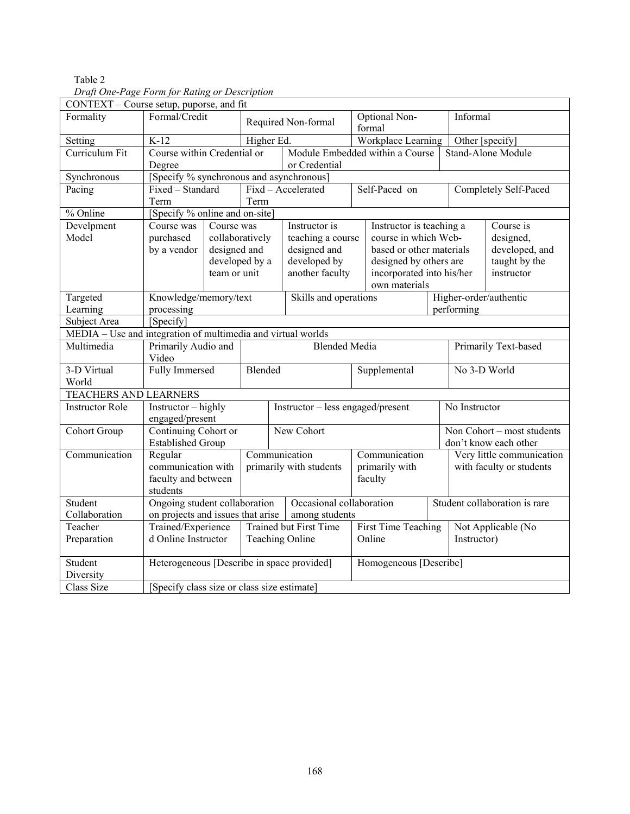| Druji One 1 ugo 1 orm jor Kuling or Description<br>CONTEXT - Course setup, puporse, and fit |                                                                                      |                                                                                            |  |                     |                                           |                         |                           |              |                                                    |                       |  |
|---------------------------------------------------------------------------------------------|--------------------------------------------------------------------------------------|--------------------------------------------------------------------------------------------|--|---------------------|-------------------------------------------|-------------------------|---------------------------|--------------|----------------------------------------------------|-----------------------|--|
| Formality                                                                                   | Formal/Credit                                                                        |                                                                                            |  | Required Non-formal |                                           | Optional Non-<br>formal |                           | Informal     |                                                    |                       |  |
| Setting                                                                                     | $K-12$                                                                               | Higher Ed.                                                                                 |  |                     |                                           |                         | Workplace Learning        |              | Other [specify]                                    |                       |  |
| Curriculum Fit                                                                              |                                                                                      | Course within Credential or                                                                |  |                     | Module Embedded within a Course           |                         |                           |              | <b>Stand-Alone Module</b>                          |                       |  |
|                                                                                             | Degree<br>or Credential                                                              |                                                                                            |  |                     |                                           |                         |                           |              |                                                    |                       |  |
| Synchronous                                                                                 | [Specify % synchronous and asynchronous]                                             |                                                                                            |  |                     |                                           |                         |                           |              |                                                    |                       |  |
| Pacing                                                                                      | Fixed - Standard                                                                     |                                                                                            |  |                     | Fixd - Accelerated                        |                         | Self-Paced on             |              |                                                    | Completely Self-Paced |  |
|                                                                                             | Term<br>Term                                                                         |                                                                                            |  |                     |                                           |                         |                           |              |                                                    |                       |  |
| % Online                                                                                    | [Specify % online and on-site]                                                       |                                                                                            |  |                     |                                           |                         |                           |              |                                                    |                       |  |
| Develpment                                                                                  | Course was                                                                           | Course was                                                                                 |  |                     | Instructor is<br>Instructor is teaching a |                         |                           |              | Course is                                          |                       |  |
| Model                                                                                       | purchased                                                                            | collaboratively                                                                            |  |                     | teaching a course                         |                         | course in which Web-      |              |                                                    | designed,             |  |
|                                                                                             | by a vendor                                                                          | designed and                                                                               |  |                     | designed and                              |                         | based or other materials  |              |                                                    | developed, and        |  |
|                                                                                             |                                                                                      | developed by a                                                                             |  |                     | developed by                              | designed by others are  |                           |              |                                                    | taught by the         |  |
|                                                                                             |                                                                                      | team or unit                                                                               |  |                     | another faculty                           |                         | incorporated into his/her |              |                                                    | instructor            |  |
|                                                                                             |                                                                                      |                                                                                            |  |                     |                                           |                         | own materials             |              |                                                    |                       |  |
| Targeted                                                                                    |                                                                                      | Knowledge/memory/text                                                                      |  |                     | Skills and operations                     |                         |                           |              | Higher-order/authentic                             |                       |  |
| Learning                                                                                    | processing                                                                           |                                                                                            |  |                     |                                           |                         |                           |              | performing                                         |                       |  |
| Subject Area                                                                                | [Specify]                                                                            |                                                                                            |  |                     |                                           |                         |                           |              |                                                    |                       |  |
| MEDIA - Use and integration of multimedia and virtual worlds                                |                                                                                      |                                                                                            |  |                     |                                           |                         |                           |              |                                                    |                       |  |
| Multimedia                                                                                  | Primarily Audio and                                                                  |                                                                                            |  |                     |                                           | <b>Blended Media</b>    |                           |              | Primarily Text-based                               |                       |  |
|                                                                                             | Video                                                                                |                                                                                            |  |                     |                                           |                         |                           |              |                                                    |                       |  |
| 3-D Virtual                                                                                 | <b>Fully Immersed</b><br>Blended                                                     |                                                                                            |  |                     | Supplemental                              |                         |                           | No 3-D World |                                                    |                       |  |
| World                                                                                       |                                                                                      |                                                                                            |  |                     |                                           |                         |                           |              |                                                    |                       |  |
| TEACHERS AND LEARNERS                                                                       |                                                                                      |                                                                                            |  |                     |                                           |                         |                           |              |                                                    |                       |  |
| <b>Instructor Role</b>                                                                      | Instructor - highly<br>Instructor – less engaged/present                             |                                                                                            |  |                     |                                           |                         |                           |              | No Instructor                                      |                       |  |
|                                                                                             |                                                                                      | engaged/present                                                                            |  |                     |                                           |                         |                           |              |                                                    |                       |  |
| Cohort Group                                                                                | Continuing Cohort or<br>New Cohort<br>Non $\overline{\text{Cohort}}$ – most students |                                                                                            |  |                     |                                           |                         |                           |              |                                                    |                       |  |
| Communication                                                                               | Regular                                                                              | <b>Established Group</b><br>Communication                                                  |  |                     |                                           |                         | Communication             |              | don't know each other<br>Very little communication |                       |  |
|                                                                                             | communication with                                                                   |                                                                                            |  |                     | primarily with students<br>faculty        |                         | primarily with            |              | with faculty or students                           |                       |  |
|                                                                                             |                                                                                      |                                                                                            |  |                     |                                           |                         |                           |              |                                                    |                       |  |
|                                                                                             | faculty and between<br>students                                                      |                                                                                            |  |                     |                                           |                         |                           |              |                                                    |                       |  |
| Student                                                                                     |                                                                                      | Ongoing student collaboration<br>Occasional collaboration<br>Student collaboration is rare |  |                     |                                           |                         |                           |              |                                                    |                       |  |
| Collaboration                                                                               | on projects and issues that arise<br>among students                                  |                                                                                            |  |                     |                                           |                         |                           |              |                                                    |                       |  |
| Teacher                                                                                     |                                                                                      | Trained/Experience                                                                         |  |                     | <b>Trained but First Time</b>             | First Time Teaching     |                           |              | Not Applicable ( $\overline{\text{No}}$            |                       |  |
| Preparation                                                                                 |                                                                                      | d Online Instructor<br><b>Teaching Online</b>                                              |  |                     |                                           |                         | Online                    |              | Instructor)                                        |                       |  |
|                                                                                             |                                                                                      |                                                                                            |  |                     |                                           |                         |                           |              |                                                    |                       |  |
| Student                                                                                     | Heterogeneous [Describe in space provided]<br>Homogeneous [Describe]                 |                                                                                            |  |                     |                                           |                         |                           |              |                                                    |                       |  |
| Diversity                                                                                   |                                                                                      |                                                                                            |  |                     |                                           |                         |                           |              |                                                    |                       |  |
| <b>Class Size</b>                                                                           | [Specify class size or class size estimate]                                          |                                                                                            |  |                     |                                           |                         |                           |              |                                                    |                       |  |

# Table 2 *Draft One-Page Form for Rating or Description*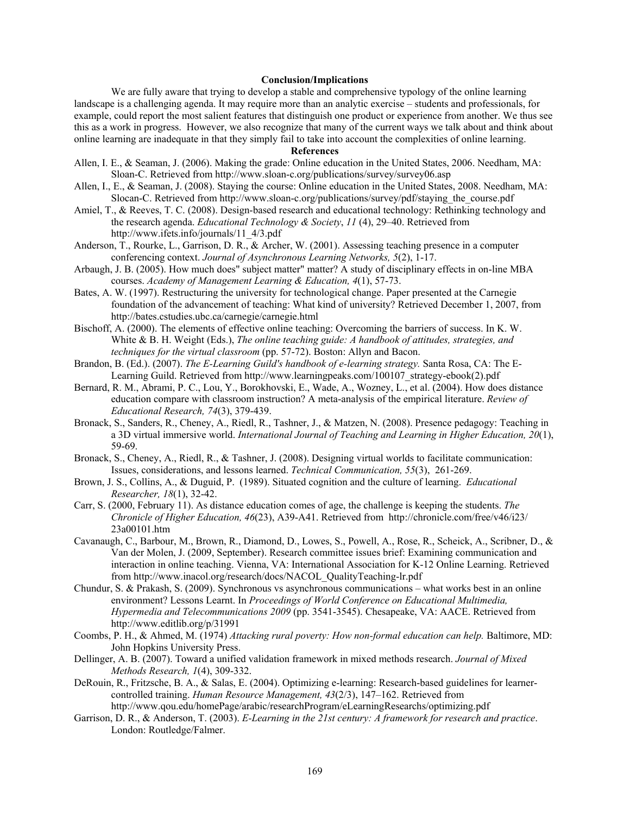### **Conclusion/Implications**

We are fully aware that trying to develop a stable and comprehensive typology of the online learning landscape is a challenging agenda. It may require more than an analytic exercise – students and professionals, for example, could report the most salient features that distinguish one product or experience from another. We thus see this as a work in progress. However, we also recognize that many of the current ways we talk about and think about online learning are inadequate in that they simply fail to take into account the complexities of online learning.

### **References**

- Allen, I. E., & Seaman, J. (2006). Making the grade: Online education in the United States, 2006. Needham, MA: Sloan-C. Retrieved from http://www.sloan-c.org/publications/survey/survey06.asp
- Allen, I., E., & Seaman, J. (2008). Staying the course: Online education in the United States, 2008. Needham, MA: Slocan-C. Retrieved from http://www.sloan-c.org/publications/survey/pdf/staying\_the\_course.pdf
- Amiel, T., & Reeves, T. C. (2008). Design-based research and educational technology: Rethinking technology and the research agenda. *Educational Technology & Society*, *11* (4), 29–40. Retrieved from http://www.ifets.info/journals/11\_4/3.pdf
- Anderson, T., Rourke, L., Garrison, D. R., & Archer, W. (2001). Assessing teaching presence in a computer conferencing context. *Journal of Asynchronous Learning Networks, 5*(2), 1-17.
- Arbaugh, J. B. (2005). How much does" subject matter" matter? A study of disciplinary effects in on-line MBA courses. *Academy of Management Learning & Education, 4*(1), 57-73.
- Bates, A. W. (1997). Restructuring the university for technological change. Paper presented at the Carnegie foundation of the advancement of teaching: What kind of university? Retrieved December 1, 2007, from http://bates.cstudies.ubc.ca/carnegie/carnegie.html
- Bischoff, A. (2000). The elements of effective online teaching: Overcoming the barriers of success. In K. W. White & B. H. Weight (Eds.), *The online teaching guide: A handbook of attitudes, strategies, and techniques for the virtual classroom* (pp. 57-72). Boston: Allyn and Bacon.
- Brandon, B. (Ed.). (2007). *The E-Learning Guild's handbook of e-learning strategy.* Santa Rosa, CA: The E-Learning Guild. Retrieved from http://www.learningpeaks.com/100107\_strategy-ebook(2).pdf
- Bernard, R. M., Abrami, P. C., Lou, Y., Borokhovski, E., Wade, A., Wozney, L., et al. (2004). How does distance education compare with classroom instruction? A meta-analysis of the empirical literature. *Review of Educational Research, 74*(3), 379-439.
- Bronack, S., Sanders, R., Cheney, A., Riedl, R., Tashner, J., & Matzen, N. (2008). Presence pedagogy: Teaching in a 3D virtual immersive world. *International Journal of Teaching and Learning in Higher Education, 20*(1), 59-69.
- Bronack, S., Cheney, A., Riedl, R., & Tashner, J. (2008). Designing virtual worlds to facilitate communication: Issues, considerations, and lessons learned. *Technical Communication, 55*(3), 261-269.
- Brown, J. S., Collins, A., & Duguid, P. (1989). Situated cognition and the culture of learning. *Educational Researcher, 18*(1), 32-42.
- Carr, S. (2000, February 11). As distance education comes of age, the challenge is keeping the students. *The Chronicle of Higher Education, 46*(23), A39-A41. Retrieved from http://chronicle.com/free/v46/i23/ 23a00101.htm
- Cavanaugh, C., Barbour, M., Brown, R., Diamond, D., Lowes, S., Powell, A., Rose, R., Scheick, A., Scribner, D., & Van der Molen, J. (2009, September). Research committee issues brief: Examining communication and interaction in online teaching. Vienna, VA: International Association for K-12 Online Learning. Retrieved from http://www.inacol.org/research/docs/NACOL\_QualityTeaching-lr.pdf
- Chundur, S. & Prakash, S. (2009). Synchronous vs asynchronous communications what works best in an online environment? Lessons Learnt. In *Proceedings of World Conference on Educational Multimedia, Hypermedia and Telecommunications 2009* (pp. 3541-3545). Chesapeake, VA: AACE. Retrieved from http://www.editlib.org/p/31991
- Coombs, P. H., & Ahmed, M. (1974) *Attacking rural poverty: How non-formal education can help.* Baltimore, MD: John Hopkins University Press.
- Dellinger, A. B. (2007). Toward a unified validation framework in mixed methods research. *Journal of Mixed Methods Research, 1*(4), 309-332.
- DeRouin, R., Fritzsche, B. A., & Salas, E. (2004). Optimizing e-learning: Research-based guidelines for learnercontrolled training. *Human Resource Management, 43*(2/3), 147–162. Retrieved from http://www.qou.edu/homePage/arabic/researchProgram/eLearningResearchs/optimizing.pdf
- Garrison, D. R., & Anderson, T. (2003). *E-Learning in the 21st century: A framework for research and practice*. London: Routledge/Falmer.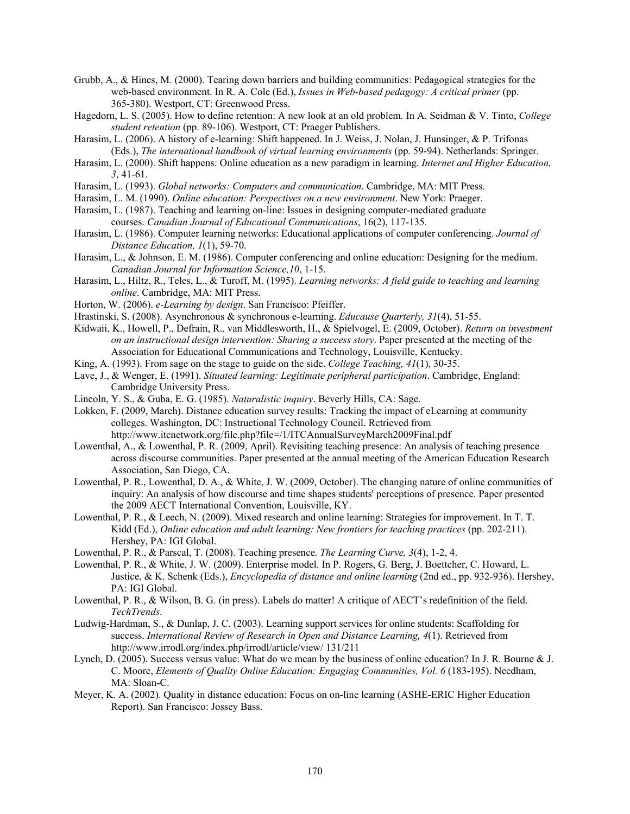- Grubb, A., & Hines, M. (2000). Tearing down barriers and building communities: Pedagogical strategies for the web-based environment. In R. A. Cole (Ed.), *Issues in Web-based pedagogy: A critical primer* (pp. 365-380). Westport, CT: Greenwood Press.
- Hagedorn, L. S. (2005). How to define retention: A new look at an old problem. In A. Seidman & V. Tinto, *College student retention* (pp. 89-106). Westport, CT: Praeger Publishers.
- Harasim, L. (2006). A history of e-learning: Shift happened. In J. Weiss, J. Nolan, J. Hunsinger, & P. Trifonas (Eds.), *The international handbook of virtual learning environments* (pp. 59-94). Netherlands: Springer.
- Harasim, L. (2000). Shift happens: Online education as a new paradigm in learning. *Internet and Higher Education, 3*, 41-61.
- Harasim, L. (1993). *Global networks: Computers and communication*. Cambridge, MA: MIT Press.
- Harasim, L. M. (1990). *Online education: Perspectives on a new environment*. New York: Praeger.
- Harasim, L. (1987). Teaching and learning on-line: Issues in designing computer-mediated graduate courses. *Canadian Journal of Educational Communications*, 16(2), 117-135.
- Harasim, L. (1986). Computer learning networks: Educational applications of computer conferencing. *Journal of Distance Education, 1*(1), 59-70.
- Harasim, L., & Johnson, E. M. (1986). Computer conferencing and online education: Designing for the medium. *Canadian Journal for Information Science,10*, 1-15.
- Harasim, L., Hiltz, R., Teles, L., & Turoff, M. (1995). *Learning networks: A field guide to teaching and learning online*. Cambridge, MA: MIT Press.
- Horton, W. (2006). *e-Learning by design*. San Francisco: Pfeiffer.
- Hrastinski, S. (2008). Asynchronous & synchronous e-learning. *Educause Quarterly, 31*(4), 51-55.
- Kidwaii, K., Howell, P., Defrain, R., van Middlesworth, H., & Spielvogel, E. (2009, October). *Return on investment on an instructional design intervention: Sharing a success story*. Paper presented at the meeting of the Association for Educational Communications and Technology, Louisville, Kentucky.
- King, A. (1993). From sage on the stage to guide on the side. *College Teaching, 41*(1), 30-35.
- Lave, J., & Wenger, E. (1991). *Situated learning: Legitimate peripheral participation*. Cambridge, England: Cambridge University Press.
- Lincoln, Y. S., & Guba, E. G. (1985). *Naturalistic inquiry*. Beverly Hills, CA: Sage.
- Lokken, F. (2009, March). Distance education survey results: Tracking the impact of eLearning at community colleges. Washington, DC: Instructional Technology Council. Retrieved from http://www.itcnetwork.org/file.php?file=/1/ITCAnnualSurveyMarch2009Final.pdf
- Lowenthal, A., & Lowenthal, P. R. (2009, April). Revisiting teaching presence: An analysis of teaching presence across discourse communities. Paper presented at the annual meeting of the American Education Research Association, San Diego, CA.
- Lowenthal, P. R., Lowenthal, D. A., & White, J. W. (2009, October). The changing nature of online communities of inquiry: An analysis of how discourse and time shapes students' perceptions of presence. Paper presented the 2009 AECT International Convention, Louisville, KY.
- Lowenthal, P. R., & Leech, N. (2009). Mixed research and online learning: Strategies for improvement. In T. T. Kidd (Ed.), *Online education and adult learning: New frontiers for teaching practices* (pp. 202-211). Hershey, PA: IGI Global.
- Lowenthal, P. R., & Parscal, T. (2008). Teaching presence. *The Learning Curve, 3*(4), 1-2, 4.
- Lowenthal, P. R., & White, J. W. (2009). Enterprise model. In P. Rogers, G. Berg, J. Boettcher, C. Howard, L. Justice, & K. Schenk (Eds.), *Encyclopedia of distance and online learning* (2nd ed., pp. 932-936). Hershey, PA: IGI Global.
- Lowenthal, P. R., & Wilson, B. G. (in press). Labels do matter! A critique of AECT's redefinition of the field. *TechTrends*.
- Ludwig-Hardman, S., & Dunlap, J. C. (2003). Learning support services for online students: Scaffolding for success. *International Review of Research in Open and Distance Learning, 4*(1). Retrieved from http://www.irrodl.org/index.php/irrodl/article/view/ 131/211
- Lynch, D. (2005). Success versus value: What do we mean by the business of online education? In J. R. Bourne & J. C. Moore, *Elements of Quality Online Education: Engaging Communities, Vol. 6* (183-195). Needham, MA: Sloan-C.
- Meyer, K. A. (2002). Quality in distance education: Focus on on-line learning (ASHE-ERIC Higher Education Report). San Francisco: Jossey Bass.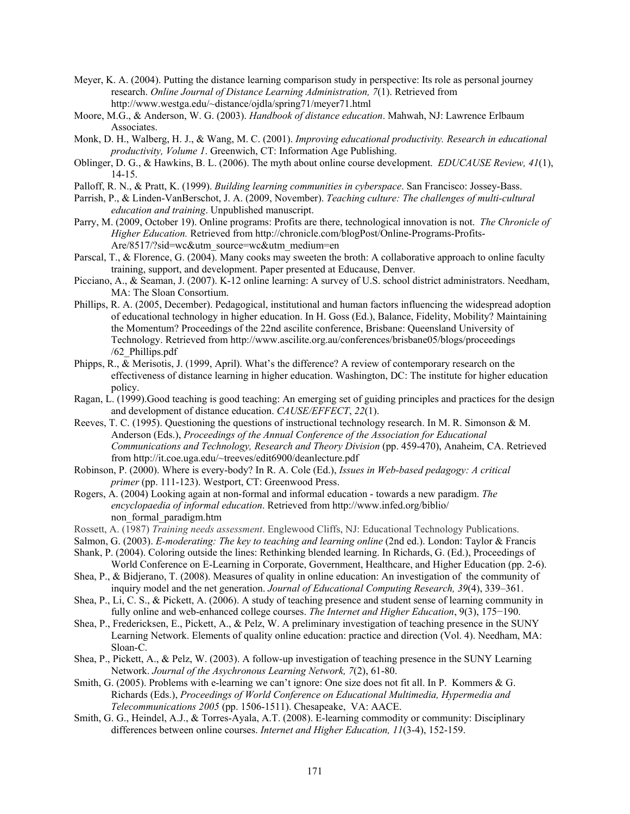- Meyer, K. A. (2004). Putting the distance learning comparison study in perspective: Its role as personal journey research. *Online Journal of Distance Learning Administration, 7*(1). Retrieved from http://www.westga.edu/~distance/ojdla/spring71/meyer71.html
- Moore, M.G., & Anderson, W. G. (2003). *Handbook of distance education*. Mahwah, NJ: Lawrence Erlbaum Associates.
- Monk, D. H., Walberg, H. J., & Wang, M. C. (2001). *Improving educational productivity. Research in educational productivity, Volume 1*. Greenwich, CT: Information Age Publishing.
- Oblinger, D. G., & Hawkins, B. L. (2006). The myth about online course development. *EDUCAUSE Review, 41*(1), 14-15.
- Palloff, R. N., & Pratt, K. (1999). *Building learning communities in cyberspace*. San Francisco: Jossey-Bass.
- Parrish, P., & Linden-VanBerschot, J. A. (2009, November). *Teaching culture: The challenges of multi-cultural education and training*. Unpublished manuscript.
- Parry, M. (2009, October 19). Online programs: Profits are there, technological innovation is not. *The Chronicle of Higher Education.* Retrieved from http://chronicle.com/blogPost/Online-Programs-Profits-Are/8517/?sid=wc&utm\_source=wc&utm\_medium=en
- Parscal, T., & Florence, G. (2004). Many cooks may sweeten the broth: A collaborative approach to online faculty training, support, and development. Paper presented at Educause, Denver.
- Picciano, A., & Seaman, J. (2007). K-12 online learning: A survey of U.S. school district administrators. Needham, MA: The Sloan Consortium.
- Phillips, R. A. (2005, December). Pedagogical, institutional and human factors influencing the widespread adoption of educational technology in higher education. In H. Goss (Ed.), Balance, Fidelity, Mobility? Maintaining the Momentum? Proceedings of the 22nd ascilite conference, Brisbane: Queensland University of Technology. Retrieved from http://www.ascilite.org.au/conferences/brisbane05/blogs/proceedings /62\_Phillips.pdf
- Phipps, R., & Merisotis, J. (1999, April). What's the difference? A review of contemporary research on the effectiveness of distance learning in higher education. Washington, DC: The institute for higher education policy.
- Ragan, L. (1999).Good teaching is good teaching: An emerging set of guiding principles and practices for the design and development of distance education. *CAUSE/EFFECT*, *22*(1).
- Reeves, T. C. (1995). Questioning the questions of instructional technology research. In M. R. Simonson & M. Anderson (Eds.), *Proceedings of the Annual Conference of the Association for Educational Communications and Technology, Research and Theory Division* (pp. 459-470), Anaheim, CA. Retrieved from http://it.coe.uga.edu/~treeves/edit6900/deanlecture.pdf
- Robinson, P. (2000). Where is every-body? In R. A. Cole (Ed.), *Issues in Web-based pedagogy: A critical primer* (pp. 111-123). Westport, CT: Greenwood Press.
- Rogers, A. (2004) Looking again at non-formal and informal education towards a new paradigm. *The encyclopaedia of informal education*. Retrieved from http://www.infed.org/biblio/ non\_formal\_paradigm.htm
- Rossett, A. (1987) *Training needs assessment*. Englewood Cliffs, NJ: Educational Technology Publications.
- Salmon, G. (2003). *E-moderating: The key to teaching and learning online* (2nd ed.). London: Taylor & Francis
- Shank, P. (2004). Coloring outside the lines: Rethinking blended learning. In Richards, G. (Ed.), Proceedings of World Conference on E-Learning in Corporate, Government, Healthcare, and Higher Education (pp. 2-6).
- Shea, P., & Bidjerano, T. (2008). Measures of quality in online education: An investigation of the community of inquiry model and the net generation. *Journal of Educational Computing Research, 39*(4), 339–361.
- Shea, P., Li, C. S., & Pickett, A. (2006). A study of teaching presence and student sense of learning community in fully online and web-enhanced college courses. *The Internet and Higher Education*, 9(3), 175−190.
- Shea, P., Fredericksen, E., Pickett, A., & Pelz, W. A preliminary investigation of teaching presence in the SUNY Learning Network. Elements of quality online education: practice and direction (Vol. 4). Needham, MA: Sloan-C.
- Shea, P., Pickett, A., & Pelz, W. (2003). A follow-up investigation of teaching presence in the SUNY Learning Network. *Journal of the Asychronous Learning Network, 7*(2), 61-80.
- Smith, G. (2005). Problems with e-learning we can't ignore: One size does not fit all. In P. Kommers & G. Richards (Eds.), *Proceedings of World Conference on Educational Multimedia, Hypermedia and Telecommunications 2005* (pp. 1506-1511). Chesapeake, VA: AACE.
- Smith, G. G., Heindel, A.J., & Torres-Ayala, A.T. (2008). E-learning commodity or community: Disciplinary differences between online courses. *Internet and Higher Education, 11*(3-4), 152-159.